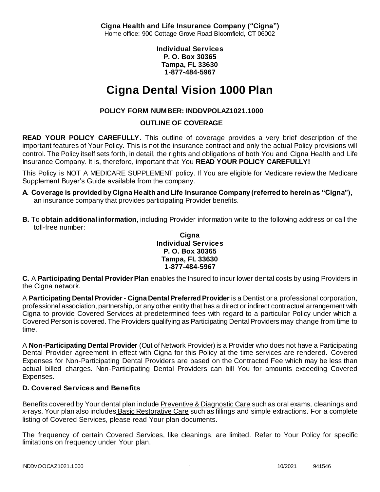**Cigna Health and Life Insurance Company ("Cigna")** Home office: 900 Cottage Grove Road Bloomfield, CT 06002

> **Individual Services P. O. Box 30365 Tampa, FL 33630 1-877-484-5967**

# **Cigna Dental Vision 1000 Plan**

# **POLICY FORM NUMBER: INDDVPOLAZ1021.1000**

### **OUTLINE OF COVERAGE**

**READ YOUR POLICY CAREFULLY.** This outline of coverage provides a very brief description of the important features of Your Policy. This is not the insurance contract and only the actual Policy provisions will control. The Policy itself sets forth, in detail, the rights and obligations of both You and Cigna Health and Life Insurance Company. It is, therefore, important that You **READ YOUR POLICY CAREFULLY!** 

This Policy is NOT A MEDICARE SUPPLEMENT policy. If You are eligible for Medicare review the Medicare Supplement Buyer's Guide available from the company.

- **A. Coverage is provided by Cigna Health and Life Insurance Company (referred to herein as "Cigna"),**  an insurance company that provides participating Provider benefits.
- **B.** To **obtain additional information**, including Provider information write to the following address or call the toll-free number:

#### **Cigna Individual Services P. O. Box 30365 Tampa, FL 33630 1-877-484-5967**

**C.** A **Participating Dental Provider Plan** enables the Insured to incur lower dental costs by using Providers in the Cigna network.

A **Participating Dental Provider - Cigna Dental Preferred Provider** is a Dentist or a professional corporation, professional association, partnership, or any other entity that has a direct or indirect contractual arrangement with Cigna to provide Covered Services at predetermined fees with regard to a particular Policy under which a Covered Person is covered. The Providers qualifying as Participating Dental Providers may change from time to time.

A **Non-Participating Dental Provider** (Out of Network Provider) is a Provider who does not have a Participating Dental Provider agreement in effect with Cigna for this Policy at the time services are rendered. Covered Expenses for Non-Participating Dental Providers are based on the Contracted Fee which may be less than actual billed charges. Non-Participating Dental Providers can bill You for amounts exceeding Covered Expenses.

# **D. Covered Services and Benefits**

Benefits covered by Your dental plan include Preventive & Diagnostic Care such as oral exams, cleanings and x-rays. Your plan also includes Basic Restorative Care such as fillings and simple extractions. For a complete listing of Covered Services, please read Your plan documents.

The frequency of certain Covered Services, like cleanings, are limited. Refer to Your Policy for specific limitations on frequency under Your plan.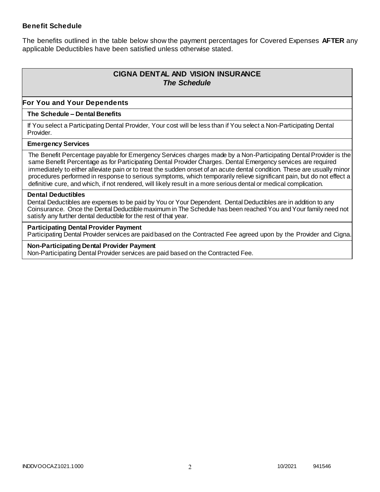### **Benefit Schedule**

The benefits outlined in the table below show the payment percentages for Covered Expenses **AFTER** any applicable Deductibles have been satisfied unless otherwise stated.

# **CIGNA DENTAL AND VISION INSURANCE** *The Schedule*

### **For You and Your Dependents**

#### **The Schedule – Dental Benefits**

If You select a Participating Dental Provider, Your cost will be less than if You select a Non-Participating Dental Provider.

#### **Emergency Services**

The Benefit Percentage payable for Emergency Services charges made by a Non-Participating Dental Provider is the same Benefit Percentage as for Participating Dental Provider Charges. Dental Emergency services are required immediately to either alleviate pain or to treat the sudden onset of an acute dental condition. These are usually minor procedures performed in response to serious symptoms, which temporarily relieve significant pain, but do not effect a definitive cure, and which, if not rendered, will likely result in a more serious dental or medical complication.

#### **Dental Deductibles**

Dental Deductibles are expenses to be paid by You or Your Dependent. Dental Deductibles are in addition to any Coinsurance. Once the Dental Deductible maximum in The Schedule has been reached You and Your family need not satisfy any further dental deductible for the rest of that year.

#### **Participating Dental Provider Payment**

Participating Dental Provider services are paid based on the Contracted Fee agreed upon by the Provider and Cigna.

**Non-Participating Dental Provider Payment** Non-Participating Dental Provider services are paid based on the Contracted Fee.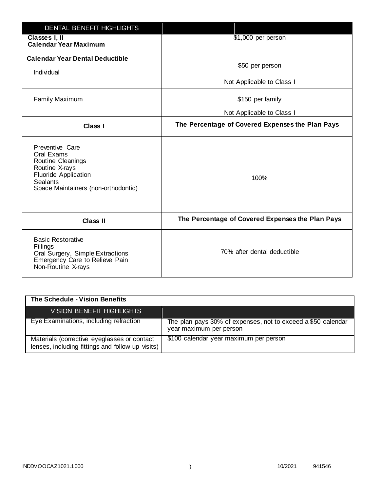| <b>DENTAL BENEFIT HIGHLIGHTS</b>                                                                                                                              |                                                  |
|---------------------------------------------------------------------------------------------------------------------------------------------------------------|--------------------------------------------------|
| Classes I, II<br><b>Calendar Year Maximum</b>                                                                                                                 | \$1,000 per person                               |
| <b>Calendar Year Dental Deductible</b><br>Individual                                                                                                          | \$50 per person                                  |
|                                                                                                                                                               | Not Applicable to Class I                        |
| <b>Family Maximum</b>                                                                                                                                         | \$150 per family                                 |
|                                                                                                                                                               | Not Applicable to Class I                        |
| <b>Class I</b>                                                                                                                                                | The Percentage of Covered Expenses the Plan Pays |
| Preventive Care<br>Oral Exams<br>Routine Cleanings<br>Routine X-rays<br><b>Fluoride Application</b><br><b>Sealants</b><br>Space Maintainers (non-orthodontic) | 100%                                             |
| <b>Class II</b>                                                                                                                                               | The Percentage of Covered Expenses the Plan Pays |
| <b>Basic Restorative</b><br>Fillings<br>Oral Surgery, Simple Extractions<br>Emergency Care to Relieve Pain<br>Non-Routine X-rays                              | 70% after dental deductible                      |

| The Schedule - Vision Benefits                                                                  |                                                                                         |
|-------------------------------------------------------------------------------------------------|-----------------------------------------------------------------------------------------|
| <b>VISION BENEFIT HIGHLIGHTS,</b>                                                               |                                                                                         |
| Eye Examinations, including refraction                                                          | The plan pays 30% of expenses, not to exceed a \$50 calendar<br>year maximum per person |
| Materials (corrective eyeglasses or contact<br>lenses, including fittings and follow-up visits) | \$100 calendar year maximum per person                                                  |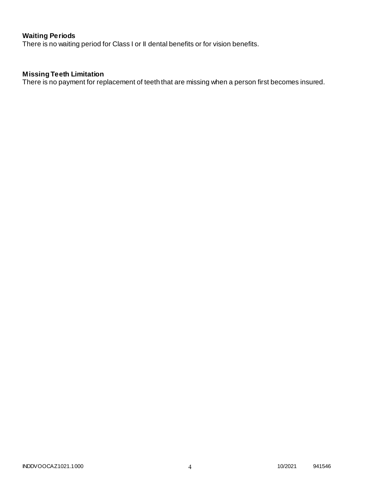# **Waiting Periods**

There is no waiting period for Class I or II dental benefits or for vision benefits.

# **Missing Teeth Limitation**

There is no payment for replacement of teeth that are missing when a person first becomes insured.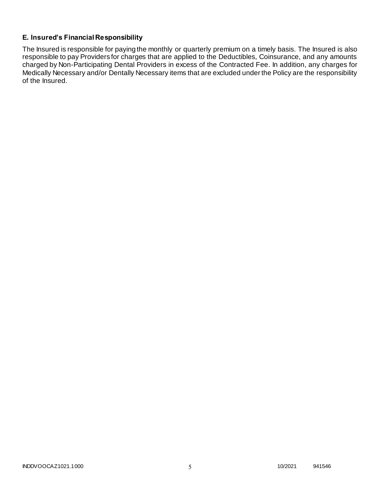### **E. Insured's Financial Responsibility**

The Insured is responsible for paying the monthly or quarterly premium on a timely basis. The Insured is also responsible to pay Providers for charges that are applied to the Deductibles, Coinsurance, and any amounts charged by Non-Participating Dental Providers in excess of the Contracted Fee. In addition, any charges for Medically Necessary and/or Dentally Necessary items that are excluded under the Policy are the responsibility of the Insured.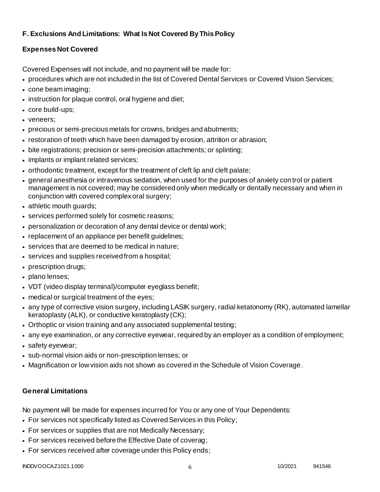# **F. Exclusions And Limitations: What Is Not Covered By This Policy**

# **Expenses Not Covered**

Covered Expenses will not include, and no payment will be made for:

- procedures which are not included in the list of Covered Dental Services or Covered Vision Services;
- cone beam imaging;
- instruction for plaque control, oral hygiene and diet;
- core build-ups;
- veneers;
- precious or semi-precious metals for crowns, bridges and abutments;
- restoration of teeth which have been damaged by erosion, attrition or abrasion;
- bite registrations; precision or semi-precision attachments; or splinting;
- implants or implant related services;
- orthodontic treatment, except for the treatment of cleft lip and cleft palate;
- general anesthesia or intravenous sedation, when used for the purposes of anxiety control or patient management is not covered; may be considered only when medically or dentally necessary and when in conjunction with covered complex oral surgery;
- athletic mouth guards;
- services performed solely for cosmetic reasons;
- personalization or decoration of any dental device or dental work;
- replacement of an appliance per benefit quidelines;
- services that are deemed to be medical in nature;
- services and supplies received from a hospital;
- prescription drugs;
- plano lenses;
- VDT (video display terminal)/computer eyeglass benefit;
- medical or surgical treatment of the eyes;
- any type of corrective vision surgery, including LASIK surgery, radial ketatonomy (RK), automated lamellar keratoplasty (ALK), or conductive keratoplasty (CK);
- Orthoptic or vision training and any associated supplemental testing;
- any eye examination, or any corrective eyewear, required by an employer as a condition of employment;
- safety eyewear;
- sub-normal vision aids or non-prescription lenses; or
- Magnification or low vision aids not shown as covered in the Schedule of Vision Coverage.

# **General Limitations**

No payment will be made for expenses incurred for You or any one of Your Dependents:

- For services not specifically listed as Covered Services in this Policy;
- For services or supplies that are not Medically Necessary;
- For services received before the Effective Date of coverag;
- For services received after coverage under this Policy ends;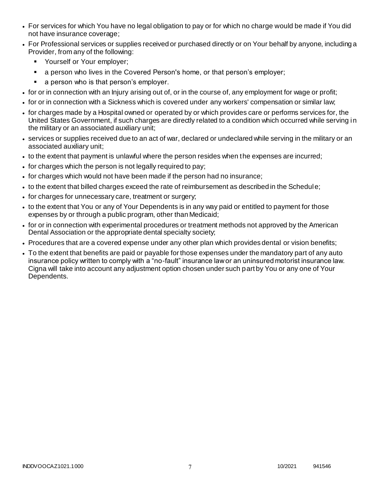- For services for which You have no legal obligation to pay or for which no charge would be made if You did not have insurance coverage;
- For Professional services or supplies received or purchased directly or on Your behalf by anyone, including a Provider, from any of the following:
	- **Yourself or Your employer;**
	- **a** person who lives in the Covered Person's home, or that person's employer;
	- a person who is that person's employer.
- for or in connection with an Injury arising out of, or in the course of, any employment for wage or profit;
- for or in connection with a Sickness which is covered under any workers' compensation or similar law;
- for charges made by a Hospital owned or operated by or which provides care or performs services for, the United States Government, if such charges are directly related to a condition which occurred while serving in the military or an associated auxiliary unit;
- services or supplies received due to an act of war, declared or undeclared while serving in the military or an associated auxiliary unit;
- to the extent that payment is unlawful where the person resides when the expenses are incurred;
- for charges which the person is not legally required to pay;
- for charges which would not have been made if the person had no insurance;
- to the extent that billed charges exceed the rate of reimbursement as described in the Schedule;
- for charges for unnecessary care, treatment or surgery;
- to the extent that You or any of Your Dependents is in any way paid or entitled to payment for those expenses by or through a public program, other than Medicaid;
- for or in connection with experimental procedures or treatment methods not approved by the American Dental Association or the appropriate dental specialty society;
- Procedures that are a covered expense under any other plan which provides dental or vision benefits;
- To the extent that benefits are paid or payable for those expenses under the mandatory part of any auto insurance policy written to comply with a "no-fault" insurance law or an uninsured motorist insurance law. Cigna will take into account any adjustment option chosen under such part by You or any one of Your Dependents.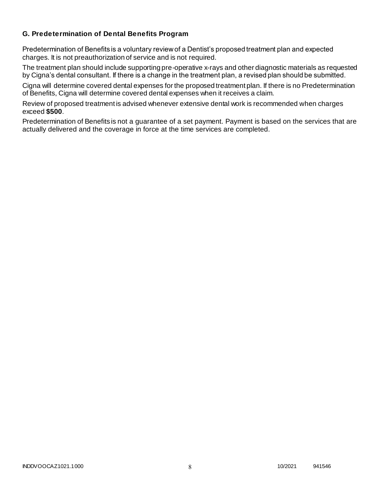### **G. Predetermination of Dental Benefits Program**

Predetermination of Benefits is a voluntary review of a Dentist's proposed treatment plan and expected charges. It is not preauthorization of service and is not required.

The treatment plan should include supporting pre-operative x-rays and other diagnostic materials as requested by Cigna's dental consultant. If there is a change in the treatment plan, a revised plan should be submitted.

Cigna will determine covered dental expenses for the proposed treatment plan. If there is no Predetermination of Benefits, Cigna will determine covered dental expenses when it receives a claim.

Review of proposed treatment is advised whenever extensive dental work is recommended when charges exceed **\$500**.

Predetermination of Benefits is not a guarantee of a set payment. Payment is based on the services that are actually delivered and the coverage in force at the time services are completed.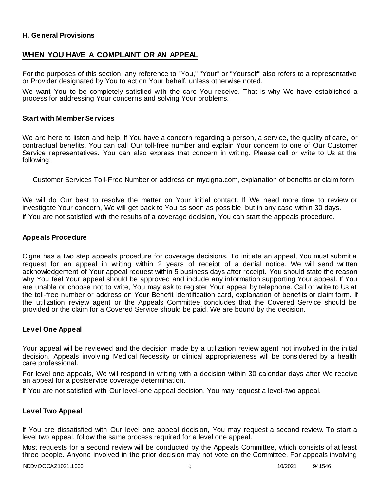### **H. General Provisions**

### **WHEN YOU HAVE A COMPLAINT OR AN APPEAL**

For the purposes of this section, any reference to "You," "Your" or "Yourself" also refers to a representative or Provider designated by You to act on Your behalf, unless otherwise noted.

We want You to be completely satisfied with the care You receive. That is why We have established a process for addressing Your concerns and solving Your problems.

#### **Start with Member Services**

We are here to listen and help. If You have a concern regarding a person, a service, the quality of care, or contractual benefits, You can call Our toll-free number and explain Your concern to one of Our Customer Service representatives. You can also express that concern in writing. Please call or write to Us at the following:

Customer Services Toll-Free Number or address on mycigna.com, explanation of benefits or claim form

We will do Our best to resolve the matter on Your initial contact. If We need more time to review or investigate Your concern, We will get back to You as soon as possible, but in any case within 30 days. If You are not satisfied with the results of a coverage decision, You can start the appeals procedure.

#### **Appeals Procedure**

Cigna has a two step appeals procedure for coverage decisions. To initiate an appeal, You must submit a request for an appeal in writing within 2 years of receipt of a denial notice. We will send written acknowledgement of Your appeal request within 5 business days after receipt. You should state the reason why You feel Your appeal should be approved and include any information supporting Your appeal. If You are unable or choose not to write, You may ask to register Your appeal by telephone. Call or write to Us at the toll-free number or address on Your Benefit Identification card, explanation of benefits or claim form. If the utilization review agent or the Appeals Committee concludes that the Covered Service should be provided or the claim for a Covered Service should be paid, We are bound by the decision.

#### **Level One Appeal**

Your appeal will be reviewed and the decision made by a utilization review agent not involved in the initial decision. Appeals involving Medical Necessity or clinical appropriateness will be considered by a health care professional.

For level one appeals, We will respond in writing with a decision within 30 calendar days after We receive an appeal for a postservice coverage determination.

If You are not satisfied with Our level-one appeal decision, You may request a level-two appeal.

#### **Level Two Appeal**

If You are dissatisfied with Our level one appeal decision, You may request a second review. To start a level two appeal, follow the same process required for a level one appeal.

Most requests for a second review will be conducted by the Appeals Committee, which consists of at least three people. Anyone involved in the prior decision may not vote on the Committee. For appeals involving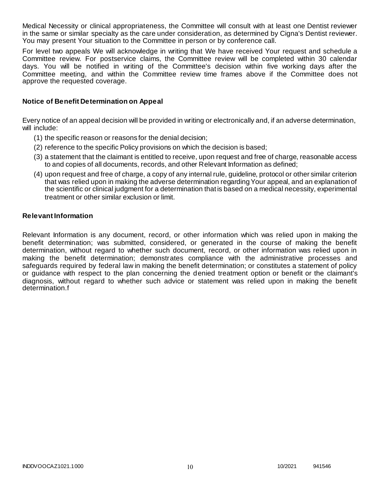Medical Necessity or clinical appropriateness, the Committee will consult with at least one Dentist reviewer in the same or similar specialty as the care under consideration, as determined by Cigna's Dentist reviewer. You may present Your situation to the Committee in person or by conference call.

For level two appeals We will acknowledge in writing that We have received Your request and schedule a Committee review. For postservice claims, the Committee review will be completed within 30 calendar days. You will be notified in writing of the Committee's decision within five working days after the Committee meeting, and within the Committee review time frames above if the Committee does not approve the requested coverage.

#### **Notice of Benefit Determination on Appeal**

Every notice of an appeal decision will be provided in writing or electronically and, if an adverse determination, will include:

- (1) the specific reason or reasons for the denial decision;
- (2) reference to the specific Policy provisions on which the decision is based;
- (3) a statement that the claimant is entitled to receive, upon request and free of charge, reasonable access to and copies of all documents, records, and other Relevant Information as defined;
- (4) upon request and free of charge, a copy of any internal rule, guideline, protocol or other similar criterion that was relied upon in making the adverse determination regarding Your appeal, and an explanation of the scientific or clinical judgment for a determination that is based on a medical necessity, experimental treatment or other similar exclusion or limit.

#### **Relevant Information**

Relevant Information is any document, record, or other information which was relied upon in making the benefit determination; was submitted, considered, or generated in the course of making the benefit determination, without regard to whether such document, record, or other information was relied upon in making the benefit determination; demonstrates compliance with the administrative processes and safeguards required by federal law in making the benefit determination; or constitutes a statement of policy or guidance with respect to the plan concerning the denied treatment option or benefit or the claimant's diagnosis, without regard to whether such advice or statement was relied upon in making the benefit determination.f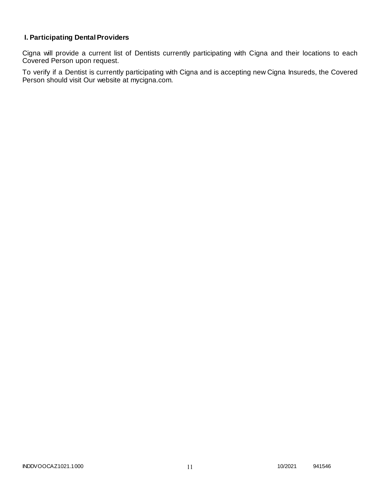# **I. Participating Dental Providers**

Cigna will provide a current list of Dentists currently participating with Cigna and their locations to each Covered Person upon request.

To verify if a Dentist is currently participating with Cigna and is accepting new Cigna Insureds, the Covered Person should visit Our website at mycigna.com.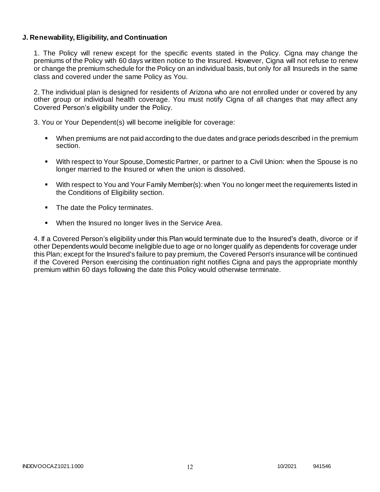### **J. Renewability, Eligibility, and Continuation**

1. The Policy will renew except for the specific events stated in the Policy. Cigna may change the premiums of the Policy with 60 days written notice to the Insured. However, Cigna will not refuse to renew or change the premium schedule for the Policy on an individual basis, but only for all Insureds in the same class and covered under the same Policy as You.

2. The individual plan is designed for residents of Arizona who are not enrolled under or covered by any other group or individual health coverage. You must notify Cigna of all changes that may affect any Covered Person's eligibility under the Policy.

3. You or Your Dependent(s) will become ineligible for coverage:

- When premiums are not paid according to the due dates and grace periods described in the premium section.
- With respect to Your Spouse, Domestic Partner, or partner to a Civil Union: when the Spouse is no longer married to the Insured or when the union is dissolved.
- With respect to You and Your Family Member(s): when You no longer meet the requirements listed in the Conditions of Eligibility section.
- The date the Policy terminates.
- When the Insured no longer lives in the Service Area.

4. If a Covered Person's eligibility under this Plan would terminate due to the Insured's death, divorce or if other Dependents would become ineligible due to age or no longer qualify as dependents for coverage under this Plan; except for the Insured's failure to pay premium, the Covered Person's insurance will be continued if the Covered Person exercising the continuation right notifies Cigna and pays the appropriate monthly premium within 60 days following the date this Policy would otherwise terminate.